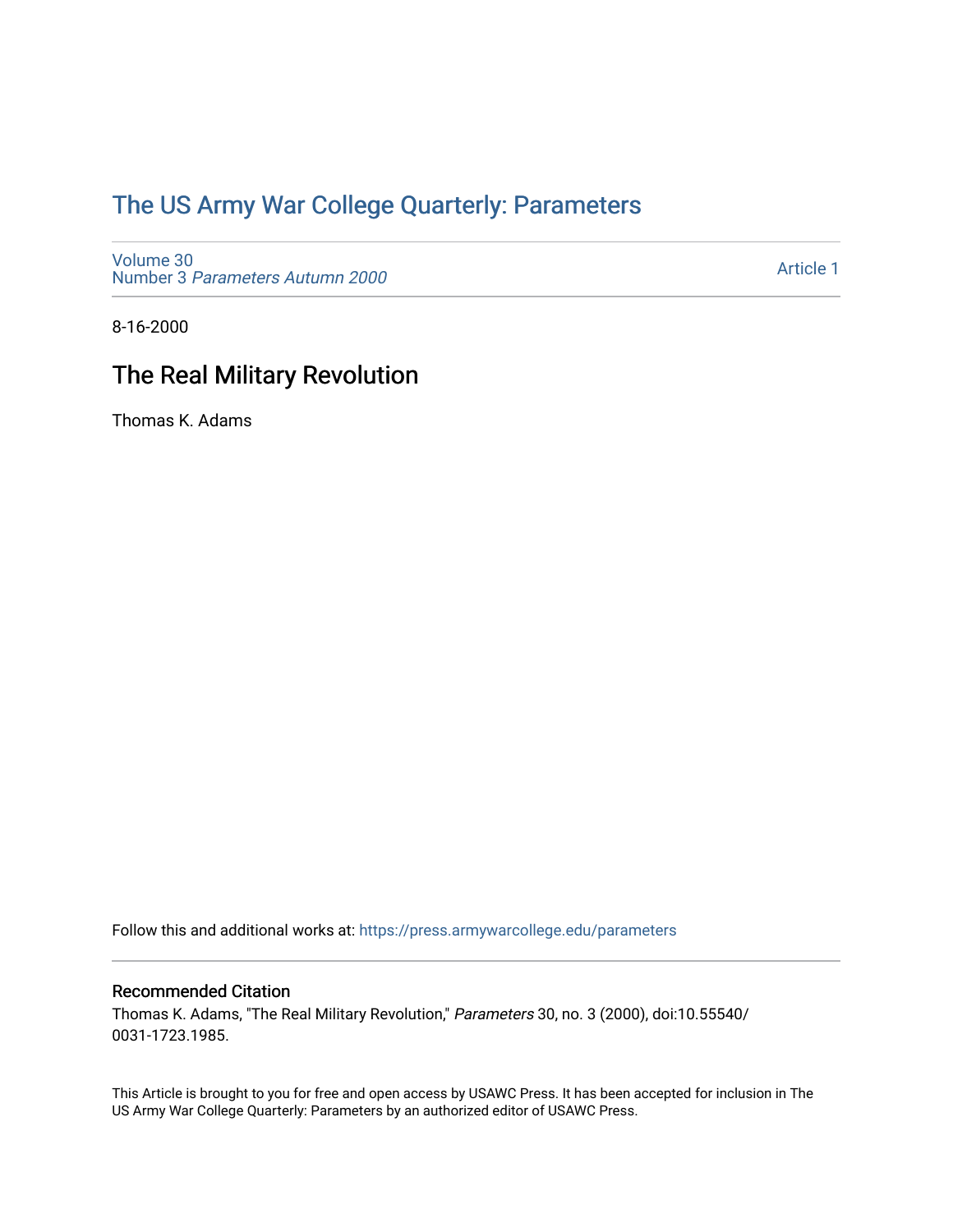## [The US Army War College Quarterly: Parameters](https://press.armywarcollege.edu/parameters)

[Volume 30](https://press.armywarcollege.edu/parameters/vol30) Number 3 [Parameters Autumn 2000](https://press.armywarcollege.edu/parameters/vol30/iss3)

[Article 1](https://press.armywarcollege.edu/parameters/vol30/iss3/1) 

8-16-2000

# The Real Military Revolution

Thomas K. Adams

Follow this and additional works at: [https://press.armywarcollege.edu/parameters](https://press.armywarcollege.edu/parameters?utm_source=press.armywarcollege.edu%2Fparameters%2Fvol30%2Fiss3%2F1&utm_medium=PDF&utm_campaign=PDFCoverPages) 

#### Recommended Citation

Thomas K. Adams, "The Real Military Revolution," Parameters 30, no. 3 (2000), doi:10.55540/ 0031-1723.1985.

This Article is brought to you for free and open access by USAWC Press. It has been accepted for inclusion in The US Army War College Quarterly: Parameters by an authorized editor of USAWC Press.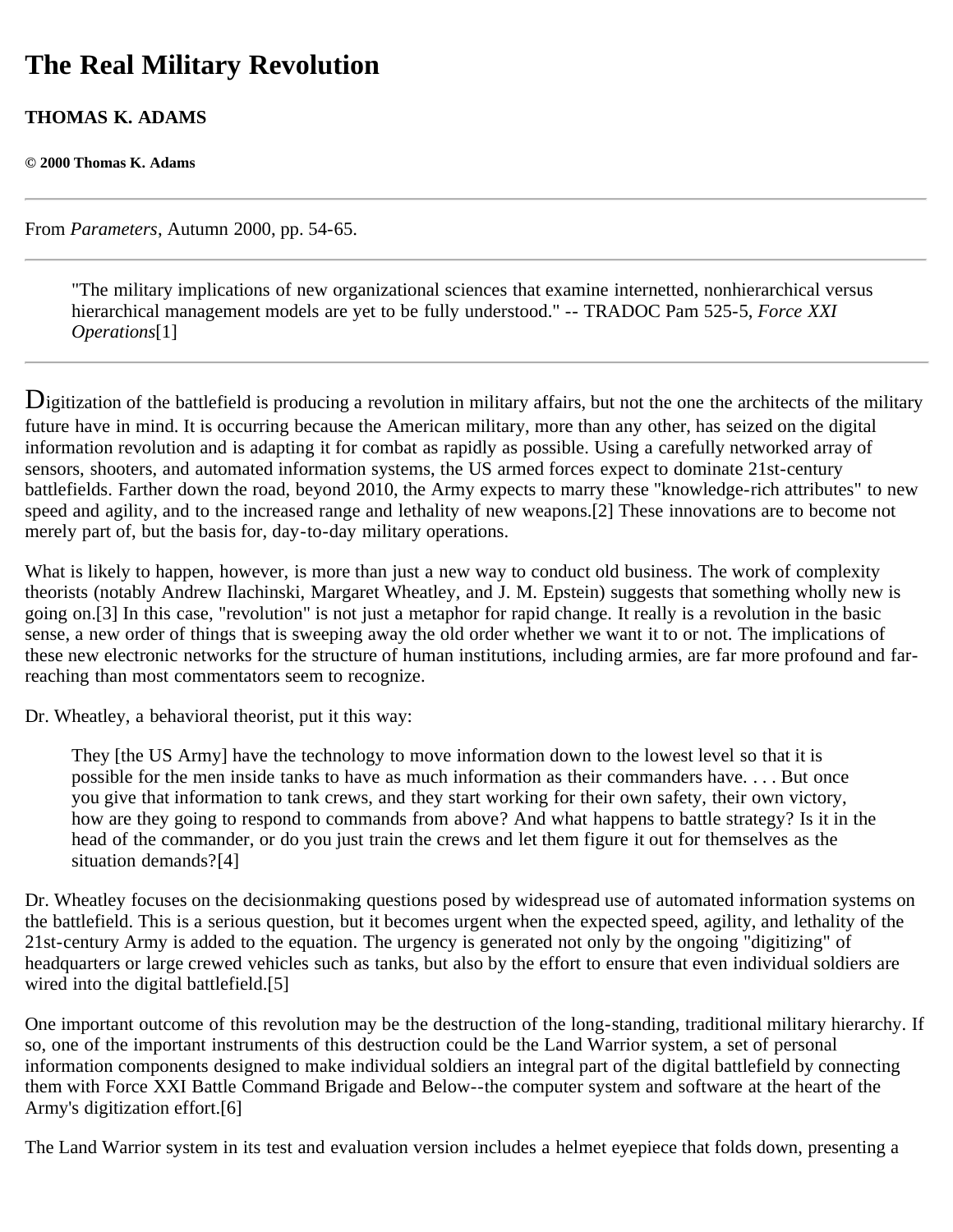# **The Real Military Revolution**

#### **THOMAS K. ADAMS**

**© 2000 Thomas K. Adams**

From *Parameters*, Autumn 2000, pp. 54-65.

"The military implications of new organizational sciences that examine internetted, nonhierarchical versus hierarchical management models are yet to be fully understood." -- TRADOC Pam 525-5, *Force XXI Operations*[1]

Digitization of the battlefield is producing a revolution in military affairs, but not the one the architects of the military future have in mind. It is occurring because the American military, more than any other, has seized on the digital information revolution and is adapting it for combat as rapidly as possible. Using a carefully networked array of sensors, shooters, and automated information systems, the US armed forces expect to dominate 21st-century battlefields. Farther down the road, beyond 2010, the Army expects to marry these "knowledge-rich attributes" to new speed and agility, and to the increased range and lethality of new weapons.[2] These innovations are to become not merely part of, but the basis for, day-to-day military operations.

What is likely to happen, however, is more than just a new way to conduct old business. The work of complexity theorists (notably Andrew Ilachinski, Margaret Wheatley, and J. M. Epstein) suggests that something wholly new is going on.[3] In this case, "revolution" is not just a metaphor for rapid change. It really is a revolution in the basic sense, a new order of things that is sweeping away the old order whether we want it to or not. The implications of these new electronic networks for the structure of human institutions, including armies, are far more profound and farreaching than most commentators seem to recognize.

Dr. Wheatley, a behavioral theorist, put it this way:

They [the US Army] have the technology to move information down to the lowest level so that it is possible for the men inside tanks to have as much information as their commanders have. . . . But once you give that information to tank crews, and they start working for their own safety, their own victory, how are they going to respond to commands from above? And what happens to battle strategy? Is it in the head of the commander, or do you just train the crews and let them figure it out for themselves as the situation demands?[4]

Dr. Wheatley focuses on the decisionmaking questions posed by widespread use of automated information systems on the battlefield. This is a serious question, but it becomes urgent when the expected speed, agility, and lethality of the 21st-century Army is added to the equation. The urgency is generated not only by the ongoing "digitizing" of headquarters or large crewed vehicles such as tanks, but also by the effort to ensure that even individual soldiers are wired into the digital battlefield.[5]

One important outcome of this revolution may be the destruction of the long-standing, traditional military hierarchy. If so, one of the important instruments of this destruction could be the Land Warrior system, a set of personal information components designed to make individual soldiers an integral part of the digital battlefield by connecting them with Force XXI Battle Command Brigade and Below--the computer system and software at the heart of the Army's digitization effort.[6]

The Land Warrior system in its test and evaluation version includes a helmet eyepiece that folds down, presenting a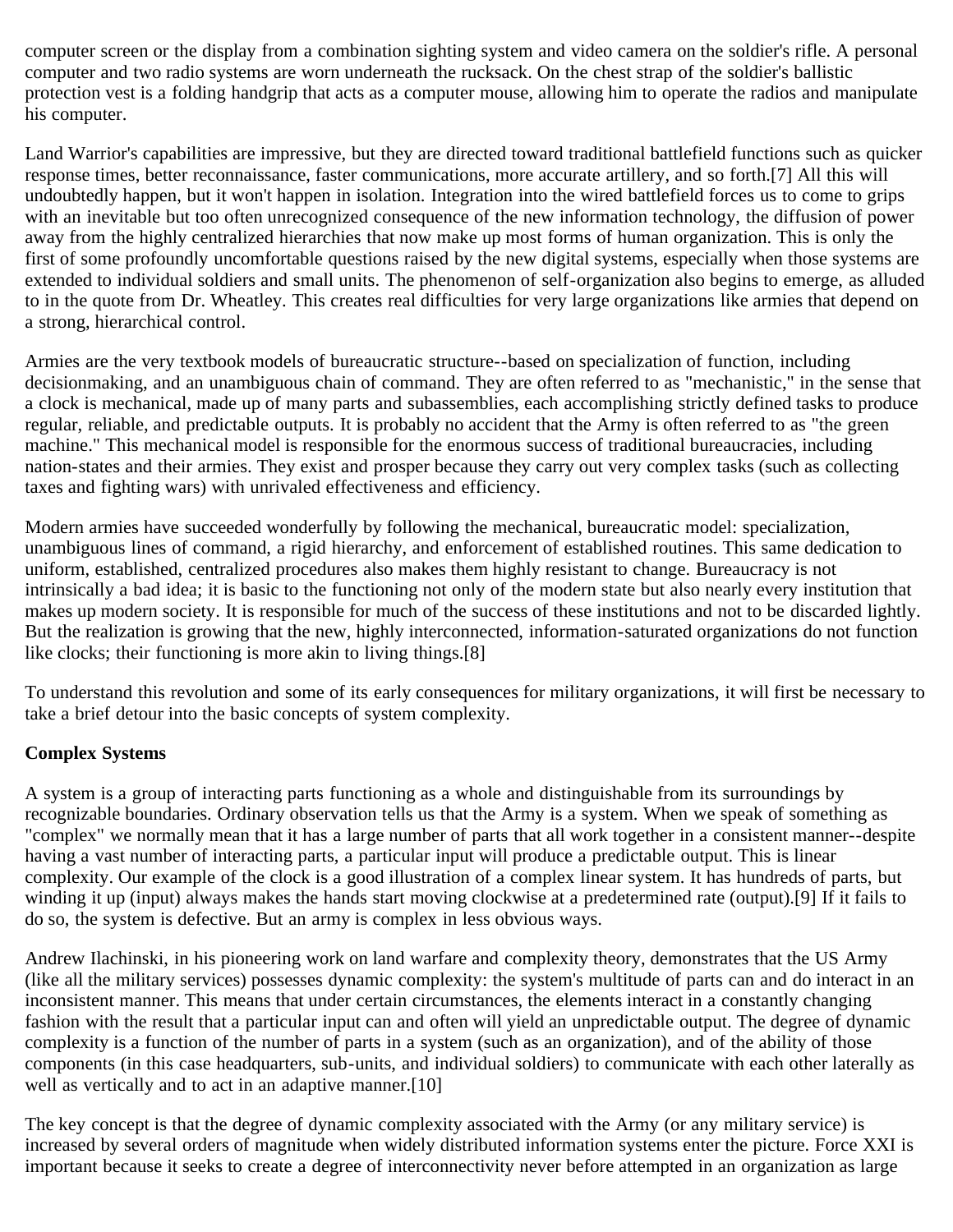computer screen or the display from a combination sighting system and video camera on the soldier's rifle. A personal computer and two radio systems are worn underneath the rucksack. On the chest strap of the soldier's ballistic protection vest is a folding handgrip that acts as a computer mouse, allowing him to operate the radios and manipulate his computer.

Land Warrior's capabilities are impressive, but they are directed toward traditional battlefield functions such as quicker response times, better reconnaissance, faster communications, more accurate artillery, and so forth.[7] All this will undoubtedly happen, but it won't happen in isolation. Integration into the wired battlefield forces us to come to grips with an inevitable but too often unrecognized consequence of the new information technology, the diffusion of power away from the highly centralized hierarchies that now make up most forms of human organization. This is only the first of some profoundly uncomfortable questions raised by the new digital systems, especially when those systems are extended to individual soldiers and small units. The phenomenon of self-organization also begins to emerge, as alluded to in the quote from Dr. Wheatley. This creates real difficulties for very large organizations like armies that depend on a strong, hierarchical control.

Armies are the very textbook models of bureaucratic structure--based on specialization of function, including decisionmaking, and an unambiguous chain of command. They are often referred to as "mechanistic," in the sense that a clock is mechanical, made up of many parts and subassemblies, each accomplishing strictly defined tasks to produce regular, reliable, and predictable outputs. It is probably no accident that the Army is often referred to as "the green machine." This mechanical model is responsible for the enormous success of traditional bureaucracies, including nation-states and their armies. They exist and prosper because they carry out very complex tasks (such as collecting taxes and fighting wars) with unrivaled effectiveness and efficiency.

Modern armies have succeeded wonderfully by following the mechanical, bureaucratic model: specialization, unambiguous lines of command, a rigid hierarchy, and enforcement of established routines. This same dedication to uniform, established, centralized procedures also makes them highly resistant to change. Bureaucracy is not intrinsically a bad idea; it is basic to the functioning not only of the modern state but also nearly every institution that makes up modern society. It is responsible for much of the success of these institutions and not to be discarded lightly. But the realization is growing that the new, highly interconnected, information-saturated organizations do not function like clocks; their functioning is more akin to living things.[8]

To understand this revolution and some of its early consequences for military organizations, it will first be necessary to take a brief detour into the basic concepts of system complexity.

## **Complex Systems**

A system is a group of interacting parts functioning as a whole and distinguishable from its surroundings by recognizable boundaries. Ordinary observation tells us that the Army is a system. When we speak of something as "complex" we normally mean that it has a large number of parts that all work together in a consistent manner--despite having a vast number of interacting parts, a particular input will produce a predictable output. This is linear complexity. Our example of the clock is a good illustration of a complex linear system. It has hundreds of parts, but winding it up (input) always makes the hands start moving clockwise at a predetermined rate (output).[9] If it fails to do so, the system is defective. But an army is complex in less obvious ways.

Andrew Ilachinski, in his pioneering work on land warfare and complexity theory, demonstrates that the US Army (like all the military services) possesses dynamic complexity: the system's multitude of parts can and do interact in an inconsistent manner. This means that under certain circumstances, the elements interact in a constantly changing fashion with the result that a particular input can and often will yield an unpredictable output. The degree of dynamic complexity is a function of the number of parts in a system (such as an organization), and of the ability of those components (in this case headquarters, sub-units, and individual soldiers) to communicate with each other laterally as well as vertically and to act in an adaptive manner.[10]

The key concept is that the degree of dynamic complexity associated with the Army (or any military service) is increased by several orders of magnitude when widely distributed information systems enter the picture. Force XXI is important because it seeks to create a degree of interconnectivity never before attempted in an organization as large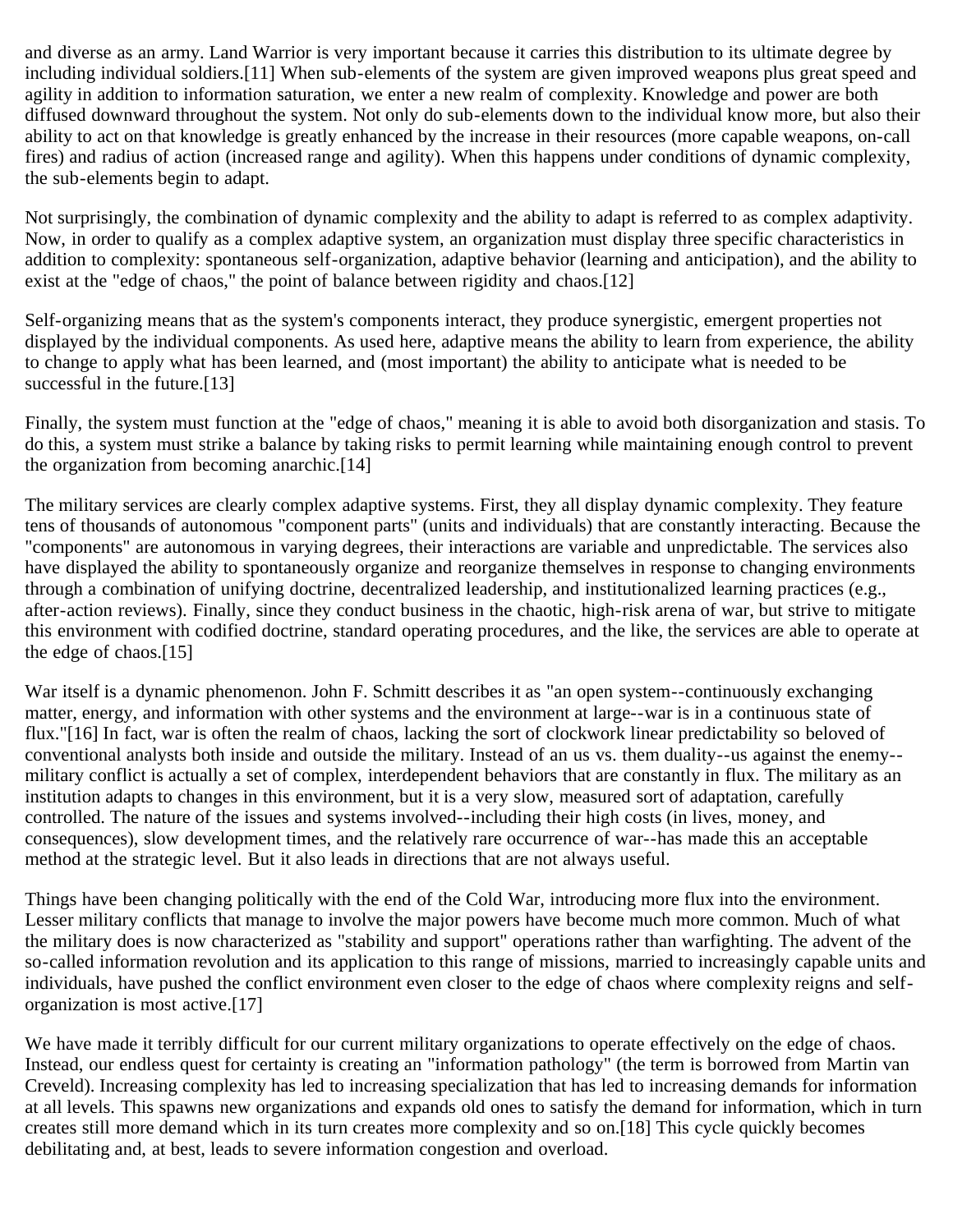and diverse as an army. Land Warrior is very important because it carries this distribution to its ultimate degree by including individual soldiers.[11] When sub-elements of the system are given improved weapons plus great speed and agility in addition to information saturation, we enter a new realm of complexity. Knowledge and power are both diffused downward throughout the system. Not only do sub-elements down to the individual know more, but also their ability to act on that knowledge is greatly enhanced by the increase in their resources (more capable weapons, on-call fires) and radius of action (increased range and agility). When this happens under conditions of dynamic complexity, the sub-elements begin to adapt.

Not surprisingly, the combination of dynamic complexity and the ability to adapt is referred to as complex adaptivity. Now, in order to qualify as a complex adaptive system, an organization must display three specific characteristics in addition to complexity: spontaneous self-organization, adaptive behavior (learning and anticipation), and the ability to exist at the "edge of chaos," the point of balance between rigidity and chaos.[12]

Self-organizing means that as the system's components interact, they produce synergistic, emergent properties not displayed by the individual components. As used here, adaptive means the ability to learn from experience, the ability to change to apply what has been learned, and (most important) the ability to anticipate what is needed to be successful in the future.[13]

Finally, the system must function at the "edge of chaos," meaning it is able to avoid both disorganization and stasis. To do this, a system must strike a balance by taking risks to permit learning while maintaining enough control to prevent the organization from becoming anarchic.[14]

The military services are clearly complex adaptive systems. First, they all display dynamic complexity. They feature tens of thousands of autonomous "component parts" (units and individuals) that are constantly interacting. Because the "components" are autonomous in varying degrees, their interactions are variable and unpredictable. The services also have displayed the ability to spontaneously organize and reorganize themselves in response to changing environments through a combination of unifying doctrine, decentralized leadership, and institutionalized learning practices (e.g., after-action reviews). Finally, since they conduct business in the chaotic, high-risk arena of war, but strive to mitigate this environment with codified doctrine, standard operating procedures, and the like, the services are able to operate at the edge of chaos.[15]

War itself is a dynamic phenomenon. John F. Schmitt describes it as "an open system--continuously exchanging matter, energy, and information with other systems and the environment at large--war is in a continuous state of flux."[16] In fact, war is often the realm of chaos, lacking the sort of clockwork linear predictability so beloved of conventional analysts both inside and outside the military. Instead of an us vs. them duality--us against the enemy- military conflict is actually a set of complex, interdependent behaviors that are constantly in flux. The military as an institution adapts to changes in this environment, but it is a very slow, measured sort of adaptation, carefully controlled. The nature of the issues and systems involved--including their high costs (in lives, money, and consequences), slow development times, and the relatively rare occurrence of war--has made this an acceptable method at the strategic level. But it also leads in directions that are not always useful.

Things have been changing politically with the end of the Cold War, introducing more flux into the environment. Lesser military conflicts that manage to involve the major powers have become much more common. Much of what the military does is now characterized as "stability and support" operations rather than warfighting. The advent of the so-called information revolution and its application to this range of missions, married to increasingly capable units and individuals, have pushed the conflict environment even closer to the edge of chaos where complexity reigns and selforganization is most active.[17]

We have made it terribly difficult for our current military organizations to operate effectively on the edge of chaos. Instead, our endless quest for certainty is creating an "information pathology" (the term is borrowed from Martin van Creveld). Increasing complexity has led to increasing specialization that has led to increasing demands for information at all levels. This spawns new organizations and expands old ones to satisfy the demand for information, which in turn creates still more demand which in its turn creates more complexity and so on.[18] This cycle quickly becomes debilitating and, at best, leads to severe information congestion and overload.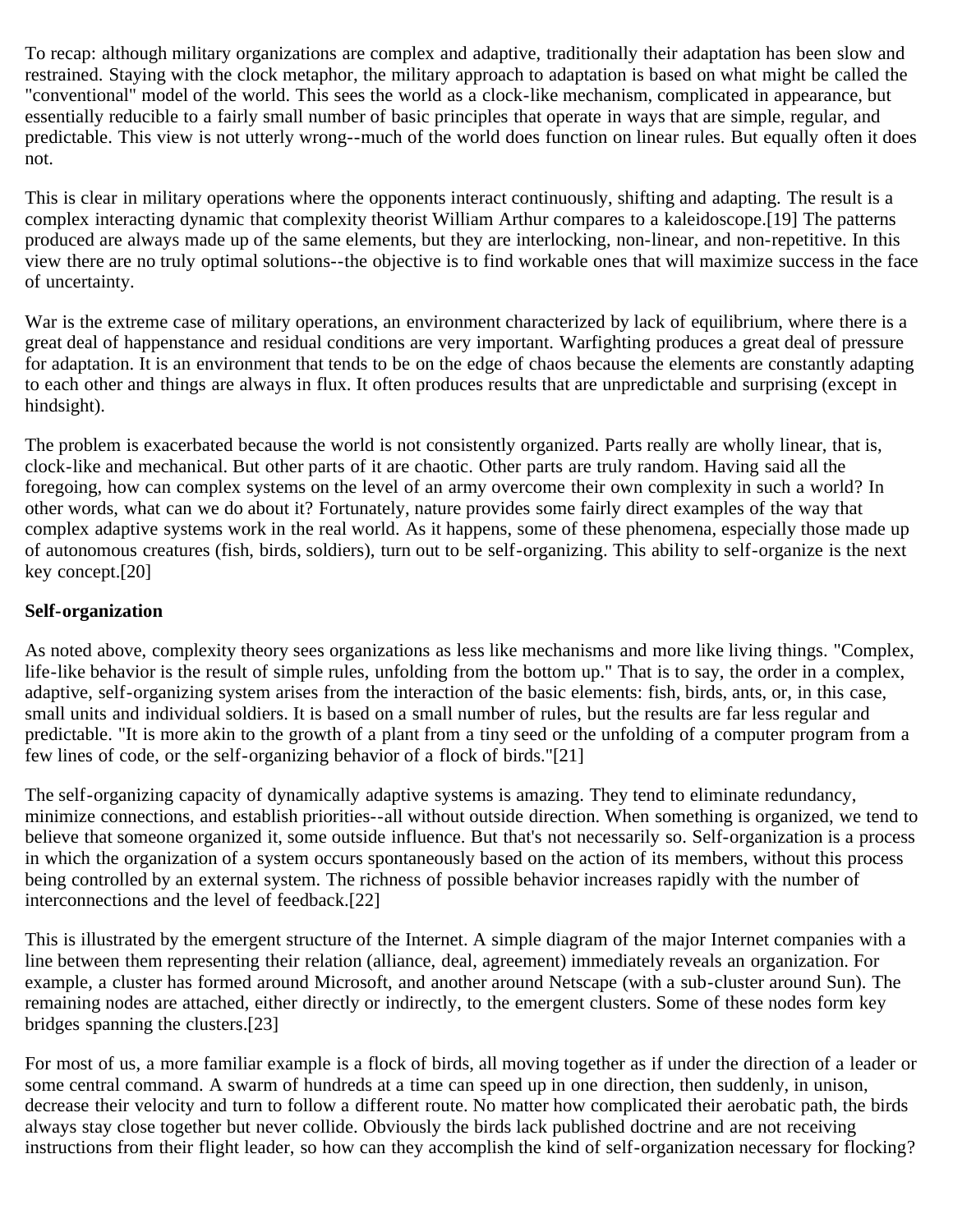To recap: although military organizations are complex and adaptive, traditionally their adaptation has been slow and restrained. Staying with the clock metaphor, the military approach to adaptation is based on what might be called the "conventional" model of the world. This sees the world as a clock-like mechanism, complicated in appearance, but essentially reducible to a fairly small number of basic principles that operate in ways that are simple, regular, and predictable. This view is not utterly wrong--much of the world does function on linear rules. But equally often it does not.

This is clear in military operations where the opponents interact continuously, shifting and adapting. The result is a complex interacting dynamic that complexity theorist William Arthur compares to a kaleidoscope.[19] The patterns produced are always made up of the same elements, but they are interlocking, non-linear, and non-repetitive. In this view there are no truly optimal solutions--the objective is to find workable ones that will maximize success in the face of uncertainty.

War is the extreme case of military operations, an environment characterized by lack of equilibrium, where there is a great deal of happenstance and residual conditions are very important. Warfighting produces a great deal of pressure for adaptation. It is an environment that tends to be on the edge of chaos because the elements are constantly adapting to each other and things are always in flux. It often produces results that are unpredictable and surprising (except in hindsight).

The problem is exacerbated because the world is not consistently organized. Parts really are wholly linear, that is, clock-like and mechanical. But other parts of it are chaotic. Other parts are truly random. Having said all the foregoing, how can complex systems on the level of an army overcome their own complexity in such a world? In other words, what can we do about it? Fortunately, nature provides some fairly direct examples of the way that complex adaptive systems work in the real world. As it happens, some of these phenomena, especially those made up of autonomous creatures (fish, birds, soldiers), turn out to be self-organizing. This ability to self-organize is the next key concept.[20]

#### **Self-organization**

As noted above, complexity theory sees organizations as less like mechanisms and more like living things. "Complex, life-like behavior is the result of simple rules, unfolding from the bottom up." That is to say, the order in a complex, adaptive, self-organizing system arises from the interaction of the basic elements: fish, birds, ants, or, in this case, small units and individual soldiers. It is based on a small number of rules, but the results are far less regular and predictable. "It is more akin to the growth of a plant from a tiny seed or the unfolding of a computer program from a few lines of code, or the self-organizing behavior of a flock of birds."[21]

The self-organizing capacity of dynamically adaptive systems is amazing. They tend to eliminate redundancy, minimize connections, and establish priorities--all without outside direction. When something is organized, we tend to believe that someone organized it, some outside influence. But that's not necessarily so. Self-organization is a process in which the organization of a system occurs spontaneously based on the action of its members, without this process being controlled by an external system. The richness of possible behavior increases rapidly with the number of interconnections and the level of feedback.[22]

This is illustrated by the emergent structure of the Internet. A simple diagram of the major Internet companies with a line between them representing their relation (alliance, deal, agreement) immediately reveals an organization. For example, a cluster has formed around Microsoft, and another around Netscape (with a sub-cluster around Sun). The remaining nodes are attached, either directly or indirectly, to the emergent clusters. Some of these nodes form key bridges spanning the clusters.[23]

For most of us, a more familiar example is a flock of birds, all moving together as if under the direction of a leader or some central command. A swarm of hundreds at a time can speed up in one direction, then suddenly, in unison, decrease their velocity and turn to follow a different route. No matter how complicated their aerobatic path, the birds always stay close together but never collide. Obviously the birds lack published doctrine and are not receiving instructions from their flight leader, so how can they accomplish the kind of self-organization necessary for flocking?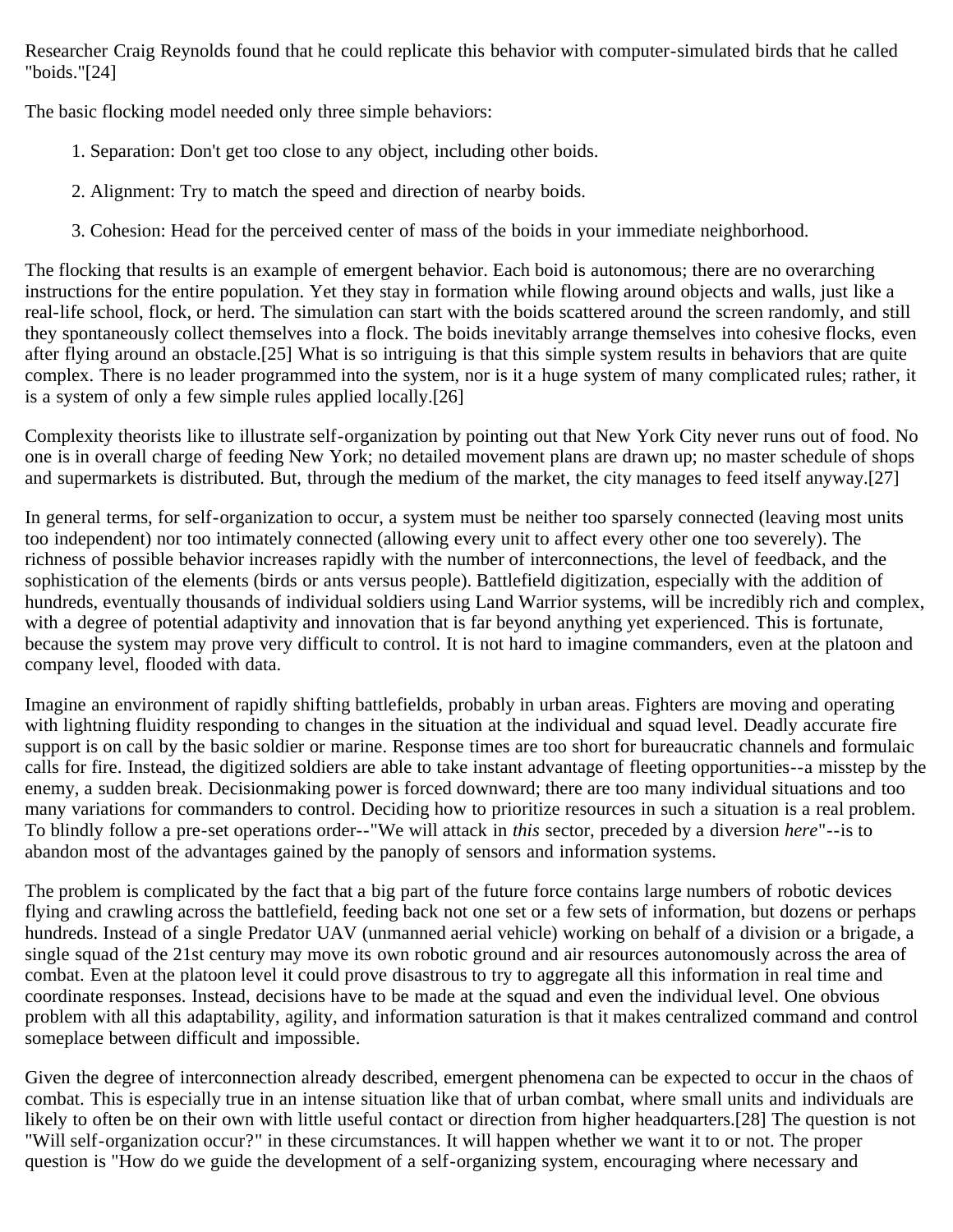Researcher Craig Reynolds found that he could replicate this behavior with computer-simulated birds that he called "boids."[24]

The basic flocking model needed only three simple behaviors:

- 1. Separation: Don't get too close to any object, including other boids.
- 2. Alignment: Try to match the speed and direction of nearby boids.
- 3. Cohesion: Head for the perceived center of mass of the boids in your immediate neighborhood.

The flocking that results is an example of emergent behavior. Each boid is autonomous; there are no overarching instructions for the entire population. Yet they stay in formation while flowing around objects and walls, just like a real-life school, flock, or herd. The simulation can start with the boids scattered around the screen randomly, and still they spontaneously collect themselves into a flock. The boids inevitably arrange themselves into cohesive flocks, even after flying around an obstacle.[25] What is so intriguing is that this simple system results in behaviors that are quite complex. There is no leader programmed into the system, nor is it a huge system of many complicated rules; rather, it is a system of only a few simple rules applied locally.[26]

Complexity theorists like to illustrate self-organization by pointing out that New York City never runs out of food. No one is in overall charge of feeding New York; no detailed movement plans are drawn up; no master schedule of shops and supermarkets is distributed. But, through the medium of the market, the city manages to feed itself anyway.[27]

In general terms, for self-organization to occur, a system must be neither too sparsely connected (leaving most units too independent) nor too intimately connected (allowing every unit to affect every other one too severely). The richness of possible behavior increases rapidly with the number of interconnections, the level of feedback, and the sophistication of the elements (birds or ants versus people). Battlefield digitization, especially with the addition of hundreds, eventually thousands of individual soldiers using Land Warrior systems, will be incredibly rich and complex, with a degree of potential adaptivity and innovation that is far beyond anything yet experienced. This is fortunate, because the system may prove very difficult to control. It is not hard to imagine commanders, even at the platoon and company level, flooded with data.

Imagine an environment of rapidly shifting battlefields, probably in urban areas. Fighters are moving and operating with lightning fluidity responding to changes in the situation at the individual and squad level. Deadly accurate fire support is on call by the basic soldier or marine. Response times are too short for bureaucratic channels and formulaic calls for fire. Instead, the digitized soldiers are able to take instant advantage of fleeting opportunities--a misstep by the enemy, a sudden break. Decisionmaking power is forced downward; there are too many individual situations and too many variations for commanders to control. Deciding how to prioritize resources in such a situation is a real problem. To blindly follow a pre-set operations order--"We will attack in *this* sector, preceded by a diversion *here*"--is to abandon most of the advantages gained by the panoply of sensors and information systems.

The problem is complicated by the fact that a big part of the future force contains large numbers of robotic devices flying and crawling across the battlefield, feeding back not one set or a few sets of information, but dozens or perhaps hundreds. Instead of a single Predator UAV (unmanned aerial vehicle) working on behalf of a division or a brigade, a single squad of the 21st century may move its own robotic ground and air resources autonomously across the area of combat. Even at the platoon level it could prove disastrous to try to aggregate all this information in real time and coordinate responses. Instead, decisions have to be made at the squad and even the individual level. One obvious problem with all this adaptability, agility, and information saturation is that it makes centralized command and control someplace between difficult and impossible.

Given the degree of interconnection already described, emergent phenomena can be expected to occur in the chaos of combat. This is especially true in an intense situation like that of urban combat, where small units and individuals are likely to often be on their own with little useful contact or direction from higher headquarters.[28] The question is not "Will self-organization occur?" in these circumstances. It will happen whether we want it to or not. The proper question is "How do we guide the development of a self-organizing system, encouraging where necessary and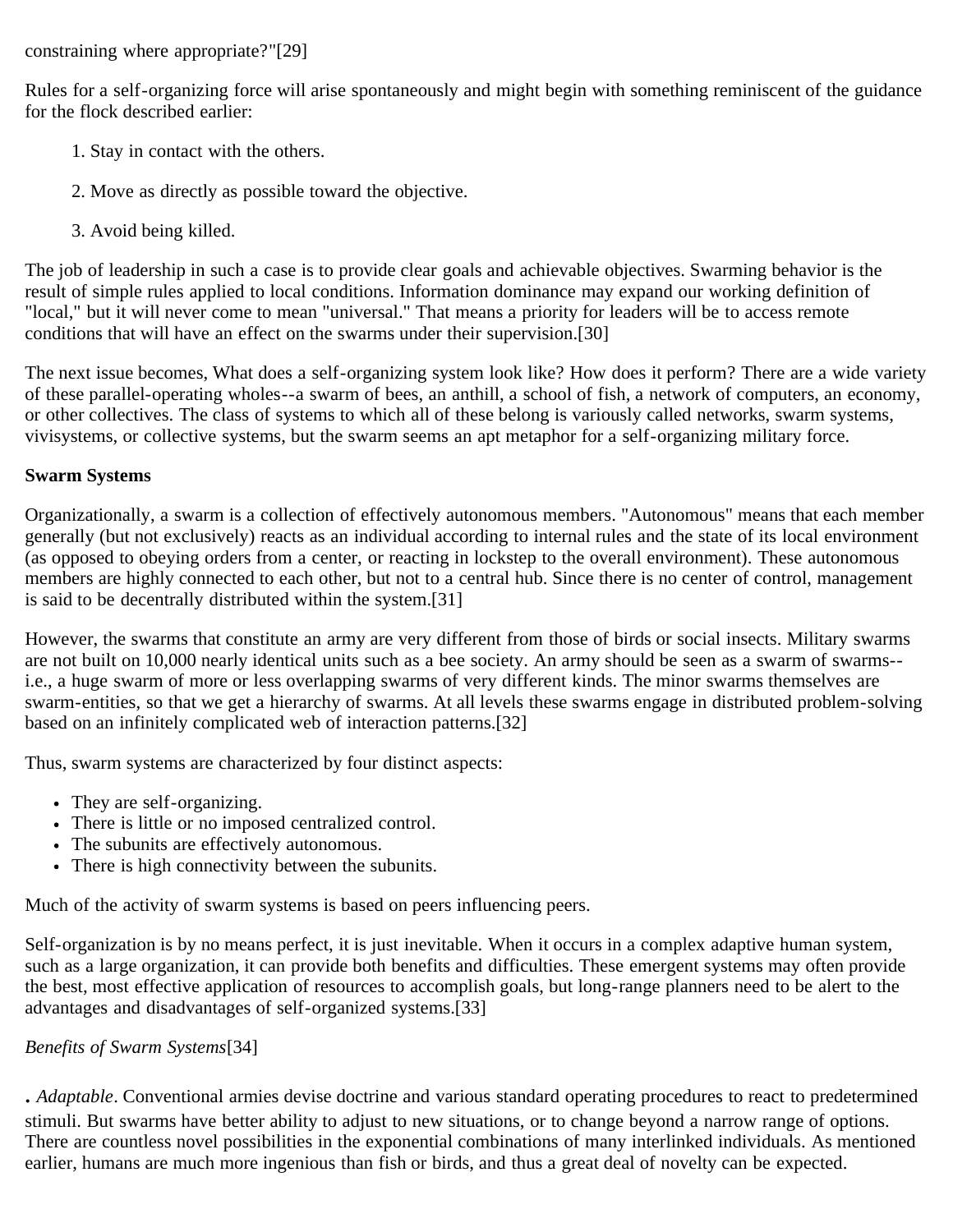constraining where appropriate?"[29]

Rules for a self-organizing force will arise spontaneously and might begin with something reminiscent of the guidance for the flock described earlier:

- 1. Stay in contact with the others.
- 2. Move as directly as possible toward the objective.
- 3. Avoid being killed.

The job of leadership in such a case is to provide clear goals and achievable objectives. Swarming behavior is the result of simple rules applied to local conditions. Information dominance may expand our working definition of "local," but it will never come to mean "universal." That means a priority for leaders will be to access remote conditions that will have an effect on the swarms under their supervision.[30]

The next issue becomes, What does a self-organizing system look like? How does it perform? There are a wide variety of these parallel-operating wholes--a swarm of bees, an anthill, a school of fish, a network of computers, an economy, or other collectives. The class of systems to which all of these belong is variously called networks, swarm systems, vivisystems, or collective systems, but the swarm seems an apt metaphor for a self-organizing military force.

#### **Swarm Systems**

Organizationally, a swarm is a collection of effectively autonomous members. "Autonomous" means that each member generally (but not exclusively) reacts as an individual according to internal rules and the state of its local environment (as opposed to obeying orders from a center, or reacting in lockstep to the overall environment). These autonomous members are highly connected to each other, but not to a central hub. Since there is no center of control, management is said to be decentrally distributed within the system.[31]

However, the swarms that constitute an army are very different from those of birds or social insects. Military swarms are not built on 10,000 nearly identical units such as a bee society. An army should be seen as a swarm of swarms- i.e., a huge swarm of more or less overlapping swarms of very different kinds. The minor swarms themselves are swarm-entities, so that we get a hierarchy of swarms. At all levels these swarms engage in distributed problem-solving based on an infinitely complicated web of interaction patterns.[32]

Thus, swarm systems are characterized by four distinct aspects:

- They are self-organizing.
- There is little or no imposed centralized control.
- The subunits are effectively autonomous.
- There is high connectivity between the subunits.

Much of the activity of swarm systems is based on peers influencing peers.

Self-organization is by no means perfect, it is just inevitable. When it occurs in a complex adaptive human system, such as a large organization, it can provide both benefits and difficulties. These emergent systems may often provide the best, most effective application of resources to accomplish goals, but long-range planners need to be alert to the advantages and disadvantages of self-organized systems.[33]

#### *Benefits of Swarm Systems*[34]

*. Adaptable*. Conventional armies devise doctrine and various standard operating procedures to react to predetermined stimuli. But swarms have better ability to adjust to new situations, or to change beyond a narrow range of options. There are countless novel possibilities in the exponential combinations of many interlinked individuals. As mentioned earlier, humans are much more ingenious than fish or birds, and thus a great deal of novelty can be expected.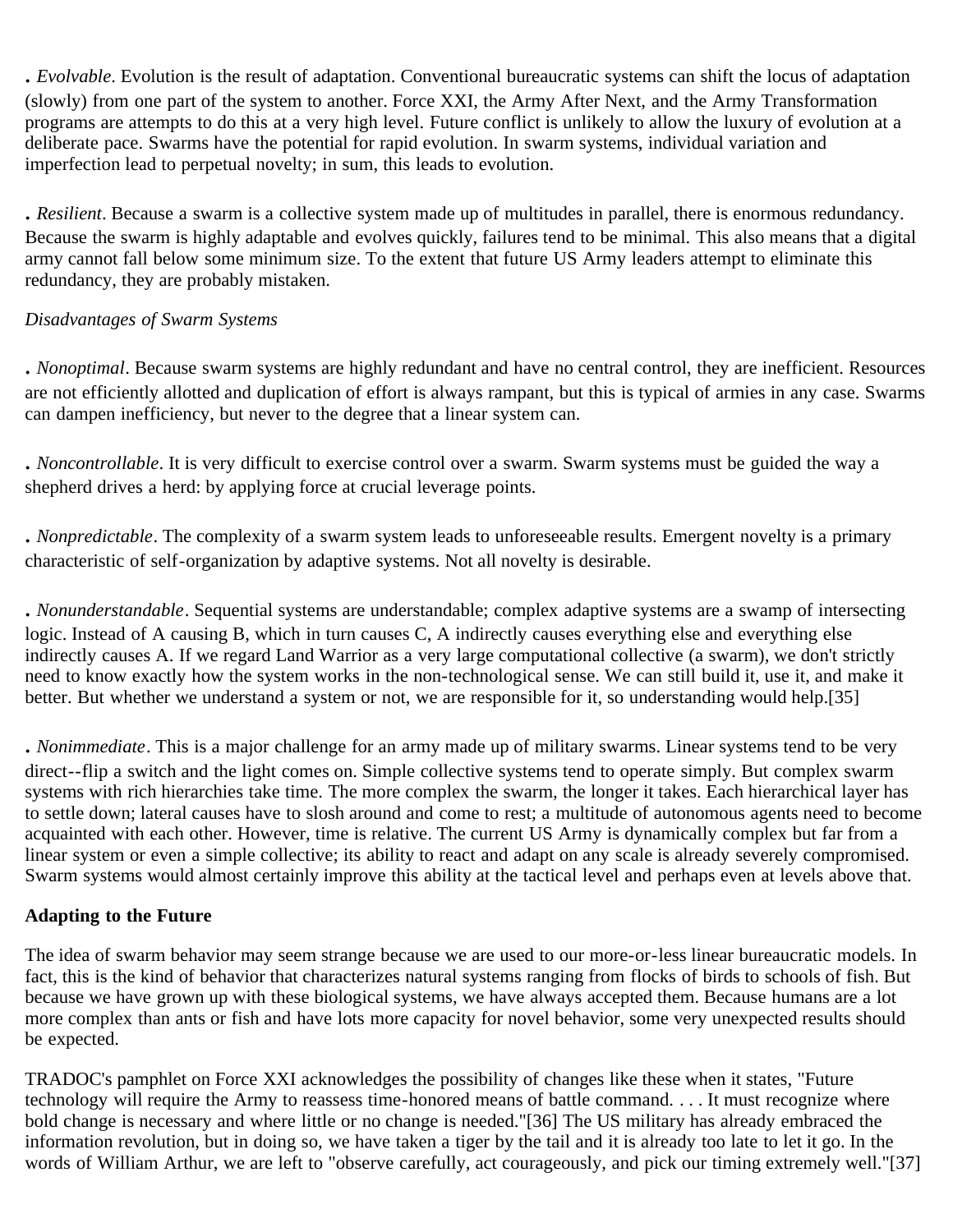*. Evolvable*. Evolution is the result of adaptation. Conventional bureaucratic systems can shift the locus of adaptation (slowly) from one part of the system to another. Force XXI, the Army After Next, and the Army Transformation programs are attempts to do this at a very high level. Future conflict is unlikely to allow the luxury of evolution at a deliberate pace. Swarms have the potential for rapid evolution. In swarm systems, individual variation and imperfection lead to perpetual novelty; in sum, this leads to evolution.

*. Resilient*. Because a swarm is a collective system made up of multitudes in parallel, there is enormous redundancy. Because the swarm is highly adaptable and evolves quickly, failures tend to be minimal. This also means that a digital army cannot fall below some minimum size. To the extent that future US Army leaders attempt to eliminate this redundancy, they are probably mistaken.

#### *Disadvantages of Swarm Systems*

*. Nonoptimal*. Because swarm systems are highly redundant and have no central control, they are inefficient. Resources are not efficiently allotted and duplication of effort is always rampant, but this is typical of armies in any case. Swarms can dampen inefficiency, but never to the degree that a linear system can.

*. Noncontrollable*. It is very difficult to exercise control over a swarm. Swarm systems must be guided the way a shepherd drives a herd: by applying force at crucial leverage points.

*. Nonpredictable*. The complexity of a swarm system leads to unforeseeable results. Emergent novelty is a primary characteristic of self-organization by adaptive systems. Not all novelty is desirable.

*. Nonunderstandable*. Sequential systems are understandable; complex adaptive systems are a swamp of intersecting logic. Instead of A causing B, which in turn causes C, A indirectly causes everything else and everything else indirectly causes A. If we regard Land Warrior as a very large computational collective (a swarm), we don't strictly need to know exactly how the system works in the non-technological sense. We can still build it, use it, and make it better. But whether we understand a system or not, we are responsible for it, so understanding would help.[35]

*. Nonimmediate*. This is a major challenge for an army made up of military swarms. Linear systems tend to be very direct--flip a switch and the light comes on. Simple collective systems tend to operate simply. But complex swarm systems with rich hierarchies take time. The more complex the swarm, the longer it takes. Each hierarchical layer has to settle down; lateral causes have to slosh around and come to rest; a multitude of autonomous agents need to become acquainted with each other. However, time is relative. The current US Army is dynamically complex but far from a linear system or even a simple collective; its ability to react and adapt on any scale is already severely compromised. Swarm systems would almost certainly improve this ability at the tactical level and perhaps even at levels above that.

## **Adapting to the Future**

The idea of swarm behavior may seem strange because we are used to our more-or-less linear bureaucratic models. In fact, this is the kind of behavior that characterizes natural systems ranging from flocks of birds to schools of fish. But because we have grown up with these biological systems, we have always accepted them. Because humans are a lot more complex than ants or fish and have lots more capacity for novel behavior, some very unexpected results should be expected.

TRADOC's pamphlet on Force XXI acknowledges the possibility of changes like these when it states, "Future technology will require the Army to reassess time-honored means of battle command. . . . It must recognize where bold change is necessary and where little or no change is needed."[36] The US military has already embraced the information revolution, but in doing so, we have taken a tiger by the tail and it is already too late to let it go. In the words of William Arthur, we are left to "observe carefully, act courageously, and pick our timing extremely well."[37]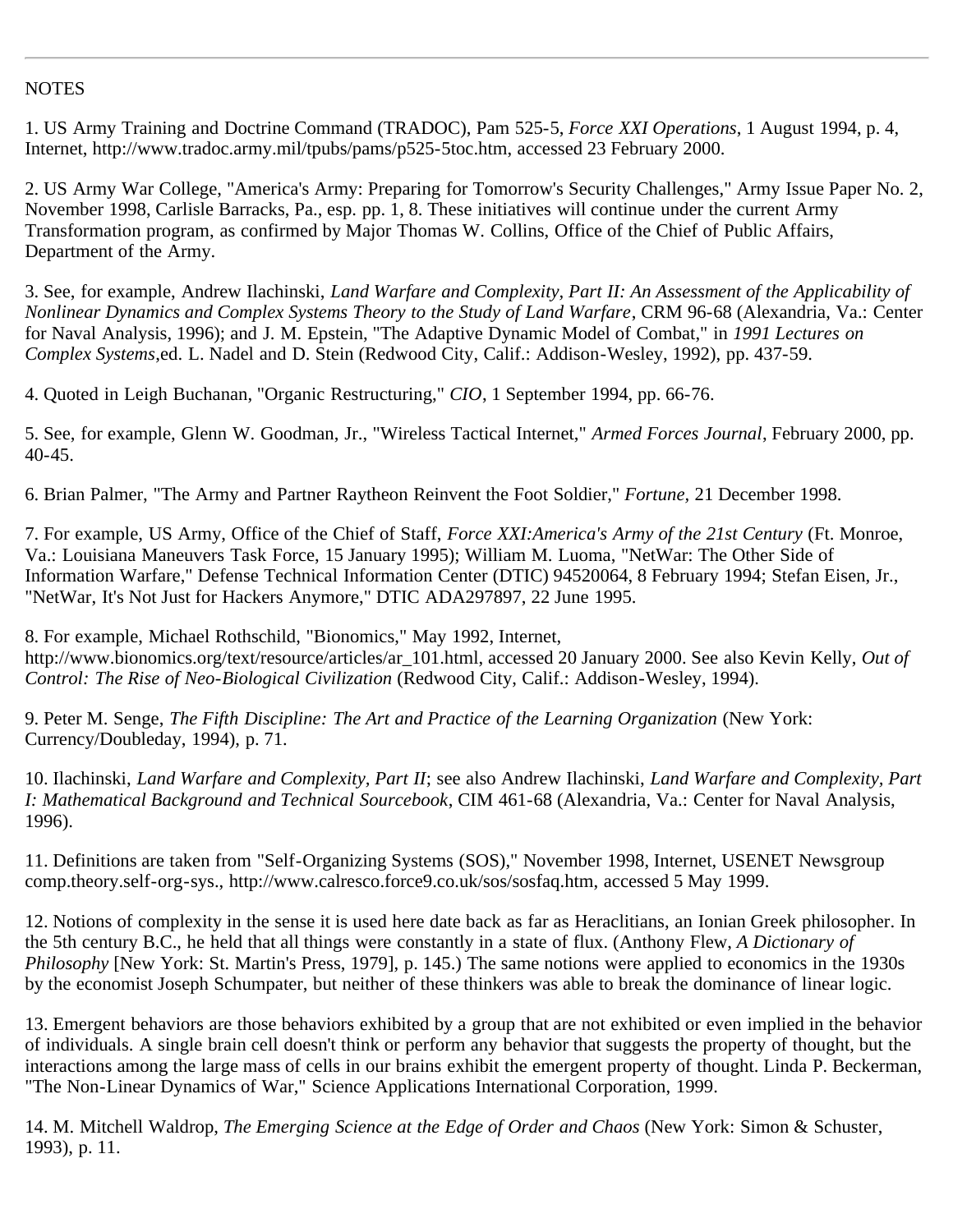#### **NOTES**

1. US Army Training and Doctrine Command (TRADOC), Pam 525-5, *Force XXI Operations*, 1 August 1994, p. 4, Internet, http://www.tradoc.army.mil/tpubs/pams/p525-5toc.htm, accessed 23 February 2000.

2. US Army War College, "America's Army: Preparing for Tomorrow's Security Challenges," Army Issue Paper No. 2, November 1998, Carlisle Barracks, Pa., esp. pp. 1, 8. These initiatives will continue under the current Army Transformation program, as confirmed by Major Thomas W. Collins, Office of the Chief of Public Affairs, Department of the Army.

3. See, for example, Andrew Ilachinski, *Land Warfare and Complexity, Part II: An Assessment of the Applicability of Nonlinear Dynamics and Complex Systems Theory to the Study of Land Warfare*, CRM 96-68 (Alexandria, Va.: Center for Naval Analysis, 1996); and J. M. Epstein, "The Adaptive Dynamic Model of Combat," in *1991 Lectures on Complex Systems*,ed. L. Nadel and D. Stein (Redwood City, Calif.: Addison-Wesley, 1992), pp. 437-59.

4. Quoted in Leigh Buchanan, "Organic Restructuring," *CIO*, 1 September 1994, pp. 66-76.

5. See, for example, Glenn W. Goodman, Jr., "Wireless Tactical Internet," *Armed Forces Journal*, February 2000, pp. 40-45.

6. Brian Palmer, "The Army and Partner Raytheon Reinvent the Foot Soldier," *Fortune,* 21 December 1998.

7. For example, US Army, Office of the Chief of Staff, *Force XXI:America's Army of the 21st Century* (Ft. Monroe, Va.: Louisiana Maneuvers Task Force, 15 January 1995); William M. Luoma, "NetWar: The Other Side of Information Warfare," Defense Technical Information Center (DTIC) 94520064, 8 February 1994; Stefan Eisen, Jr., "NetWar, It's Not Just for Hackers Anymore," DTIC ADA297897, 22 June 1995.

8. For example, Michael Rothschild, "Bionomics," May 1992, Internet, http://www.bionomics.org/text/resource/articles/ar\_101.html, accessed 20 January 2000. See also Kevin Kelly, *Out of Control: The Rise of Neo-Biological Civilization* (Redwood City, Calif.: Addison-Wesley, 1994).

9. Peter M. Senge, *The Fifth Discipline: The Art and Practice of the Learning Organization* (New York: Currency/Doubleday, 1994), p. 71.

10. Ilachinski, *Land Warfare and Complexity, Part II*; see also Andrew Ilachinski, *Land Warfare and Complexity, Part I: Mathematical Background and Technical Sourcebook*, CIM 461-68 (Alexandria, Va.: Center for Naval Analysis, 1996).

11. Definitions are taken from "Self-Organizing Systems (SOS)," November 1998, Internet, USENET Newsgroup comp.theory.self-org-sys., http://www.calresco.force9.co.uk/sos/sosfaq.htm, accessed 5 May 1999.

12. Notions of complexity in the sense it is used here date back as far as Heraclitians, an Ionian Greek philosopher. In the 5th century B.C., he held that all things were constantly in a state of flux. (Anthony Flew, *A Dictionary of Philosophy* [New York: St. Martin's Press, 1979], p. 145.) The same notions were applied to economics in the 1930s by the economist Joseph Schumpater, but neither of these thinkers was able to break the dominance of linear logic.

13. Emergent behaviors are those behaviors exhibited by a group that are not exhibited or even implied in the behavior of individuals. A single brain cell doesn't think or perform any behavior that suggests the property of thought, but the interactions among the large mass of cells in our brains exhibit the emergent property of thought. Linda P. Beckerman, "The Non-Linear Dynamics of War," Science Applications International Corporation, 1999.

14. M. Mitchell Waldrop, *The Emerging Science at the Edge of Order and Chaos* (New York: Simon & Schuster, 1993), p. 11.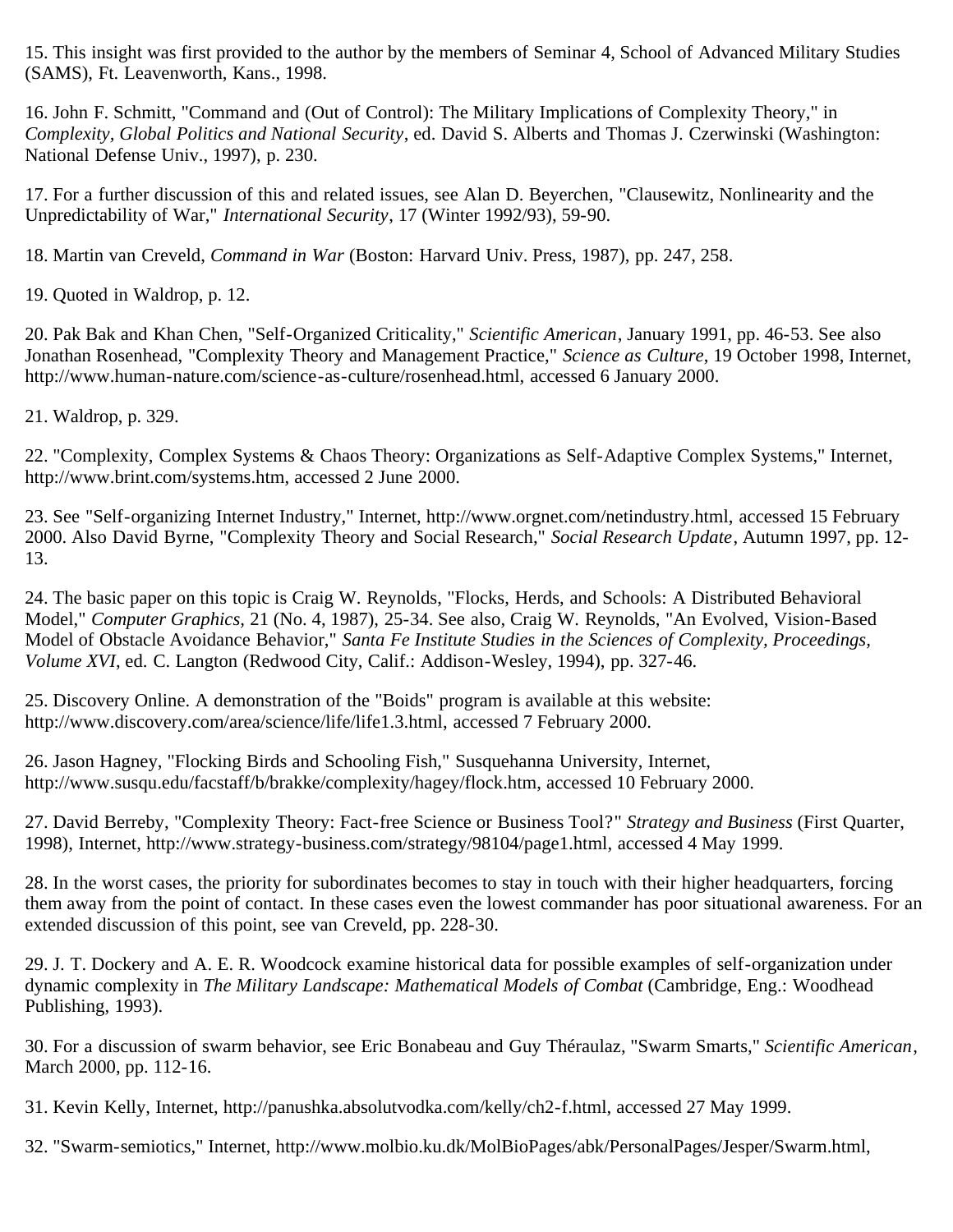15. This insight was first provided to the author by the members of Seminar 4, School of Advanced Military Studies (SAMS), Ft. Leavenworth, Kans., 1998.

16. John F. Schmitt, "Command and (Out of Control): The Military Implications of Complexity Theory," in *Complexity, Global Politics and National Security*, ed. David S. Alberts and Thomas J. Czerwinski (Washington: National Defense Univ., 1997), p. 230.

17. For a further discussion of this and related issues, see Alan D. Beyerchen, "Clausewitz, Nonlinearity and the Unpredictability of War," *International Security*, 17 (Winter 1992/93), 59-90.

18. Martin van Creveld, *Command in War* (Boston: Harvard Univ. Press, 1987), pp. 247, 258.

19. Quoted in Waldrop, p. 12.

20. Pak Bak and Khan Chen, "Self-Organized Criticality," *Scientific American*, January 1991, pp. 46-53. See also Jonathan Rosenhead, "Complexity Theory and Management Practice," *Science as Culture*, 19 October 1998, Internet, http://www.human-nature.com/science-as-culture/rosenhead.html, accessed 6 January 2000.

21. Waldrop, p. 329.

22. "Complexity, Complex Systems & Chaos Theory: Organizations as Self-Adaptive Complex Systems," Internet, http://www.brint.com/systems.htm, accessed 2 June 2000.

23. See "Self-organizing Internet Industry," Internet, http://www.orgnet.com/netindustry.html, accessed 15 February 2000. Also David Byrne, "Complexity Theory and Social Research," *Social Research Update*, Autumn 1997, pp. 12- 13.

24. The basic paper on this topic is Craig W. Reynolds, "Flocks, Herds, and Schools: A Distributed Behavioral Model," *Computer Graphics,* 21 (No. 4, 1987), 25-34. See also, Craig W. Reynolds, "An Evolved, Vision-Based Model of Obstacle Avoidance Behavior," *Santa Fe Institute Studies in the Sciences of Complexity, Proceedings, Volume XVI*, ed. C. Langton (Redwood City, Calif.: Addison-Wesley, 1994), pp. 327-46.

25. Discovery Online. A demonstration of the "Boids" program is available at this website: http://www.discovery.com/area/science/life/life1.3.html, accessed 7 February 2000.

26. Jason Hagney, "Flocking Birds and Schooling Fish," Susquehanna University, Internet, http://www.susqu.edu/facstaff/b/brakke/complexity/hagey/flock.htm, accessed 10 February 2000.

27. David Berreby, "Complexity Theory: Fact-free Science or Business Tool?" *Strategy and Business* (First Quarter, 1998), Internet, http://www.strategy-business.com/strategy/98104/page1.html, accessed 4 May 1999.

28. In the worst cases, the priority for subordinates becomes to stay in touch with their higher headquarters, forcing them away from the point of contact. In these cases even the lowest commander has poor situational awareness. For an extended discussion of this point, see van Creveld, pp. 228-30.

29. J. T. Dockery and A. E. R. Woodcock examine historical data for possible examples of self-organization under dynamic complexity in *The Military Landscape: Mathematical Models of Combat* (Cambridge, Eng.: Woodhead Publishing, 1993).

30. For a discussion of swarm behavior, see Eric Bonabeau and Guy Théraulaz, "Swarm Smarts," *Scientific American*, March 2000, pp. 112-16.

31. Kevin Kelly, Internet, http://panushka.absolutvodka.com/kelly/ch2-f.html, accessed 27 May 1999.

32. "Swarm-semiotics," Internet, http://www.molbio.ku.dk/MolBioPages/abk/PersonalPages/Jesper/Swarm.html,